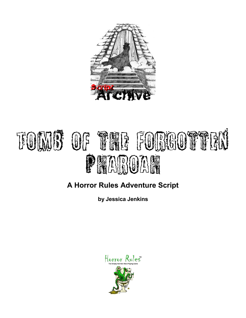

# Tomb of the Foncoutten Pharoah

### **A Horror Rules Adventure Script**

**by Jessica Jenkins**

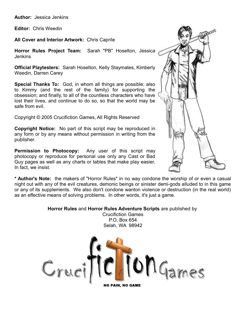**Author:** Jessica Jenkins

**Editor:** Chris Weedin

**All Cover and Interior Artwork:** Chris Caprile

**Horror Rules Project Team:** Sarah "PB" Hoselton, Jessica Jenkins

**Official Playtesters:** Sarah Hoselton, Kelly Staymates, Kimberly Weedin, Darren Carey

**Special Thanks To:** God, in whom all things are possible; also to Kimmy (and the rest of the family) for supporting the obsession; and finally, to all of the countless characters who have lost their lives, and continue to do so, so that the world may be safe from evil.

Copyright © 2005 Crucifiction Games, All Rights Reserved

**Copyright Notice:** No part of this script may be reproduced in any form or by any means without permission in writing from the publisher.

**Permission to Photocopy:** Any user of this script may photocopy or reproduce for personal use only any Cast or Bad Guy pages as well as any charts or tables that make play easier. In fact, we insist.



**\* Author's Note:** the makers of "Horror Rules" in no way condone the worship of or even a casual night out with any of the evil creatures, demonic beings or sinister demi-gods alluded to in this game or any of its supplements. We also don't condone wanton violence or destruction (in the real world) as an effective means of solving problems. In other words, it's just a game.

#### **Horror Rules** and **Horror Rules Adventure Scripts** are published by

Crucifiction Games P.O. Box 654 Selah, WA 98942

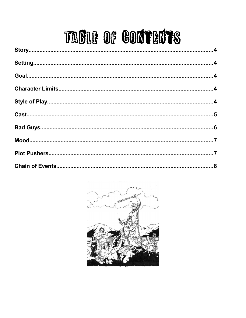## TABLE OF CONTENTS

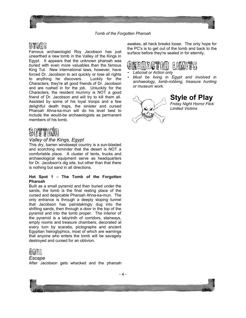

Famous archaeologist Roy Jacobson has just unearthed a new tomb in the Valley of the Kings in Egypt. It appears that the unknown pharoah was buried with even more valuables than the famous King Tut. New international laws, however, have forced Dr. Jacobson to act quickly or lose all rights to anything he discovers. Luckily for the Characters, they're all good friends of Dr. Jacobson and are rushed in for the job. Unluckily for the Characters, the resident mummy is NOT a good friend of Dr. Jacobson and will try to kill them all. Assisted by some of his loyal troops and a few delightful death traps, the sinister and cursed Pharoah Ahna-ka-mun will do his level best to include the would-be archaeologists as permanent members of his tomb.

## Se**tting**

#### *Valley of the Kings, Egypt*

This dry, barren windswept country is a sun-blasted and scorching reminder that the desert is NOT a comfortable place. A cluster of tents, trucks and archaeological equipment serve as headquarters for Dr. Jacobson's dig site, but other than that there is nothing but sand in all directions.

#### **Hot Spot 1** – **The Tomb of the Forgotten Pharoah**

Built as a small pyramid and then buried under the sands, the tomb is the final resting place of the cursed and despicable Pharoah Ahna-ka-mun. The only entrance is through a deeply sloping tunnel that Jacobson has painstakingly dug into the shifting sands, then through a door in the top of the pyramid and into the tomb proper. The interior of the pyramid is a labyrinth of corridors, stairways, empty rooms and treasure chambers, decorated at every turn by scarabs, pictographs and ancient Egyptian heiroglyphics, most of which are warnings that anyone who enters the tomb will be savagely destroyed and cursed for an oblivion.



#### *Escape*

After Jacobson gets whacked and the pharoah

awakes, all heck breaks loose. The only hope for the PC's is to get out of the tomb and back to the surface before they're sealed in for eternity.



- •*Labcoat or Action only*
- • *Must be living in Egypt and involved in archaeology, tomb-robbing, treasure hunting or museum work.*



**Style of Play** *Friday Night Horror Flick Limited Victims*

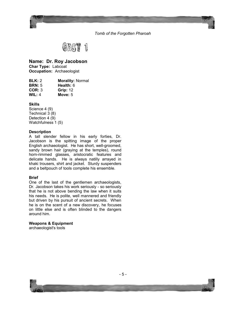



#### **Name: Dr. Roy Jacobson**

**Char Type:** Labcoat **Occupation:** Archaeologist

| BLK: 2        | <b>Morality: Normal</b> |
|---------------|-------------------------|
| <b>BRN: 5</b> | Health: 6               |
| COR: 3        | <b>Grip: 12</b>         |
| WIL: $4$      | Move: $5$               |
|               |                         |

**Skills**

Science 4 (9) Technical 3 (8) Detection 4 (9) Watchfulness 1 (5)

#### **Description**

A tall slender fellow in his early forties, Dr. Jacobson is the spitting image of the proper English archaeologist. He has short, well-groomed, sandy brown hair (graying at the temples), round horn-rimmed glasses, aristocratic features and delicate hands. He is always natilly arrayed in khaki trousers, shirt and jacket. Sturdy suspenders and a beltpouch of tools complete his ensemble.

#### **Brief**

One of the last of the gentlemen archaeologists, Dr. Jacobson takes his work seriously - so seriously that he is not above bending the law when it suits his needs. He is polite, well mannered and friendly but driven by his pursuit of ancient secrets. When he is on the scent of a new discovery, he focuses on little else and is often blinded to the dangers around him.

#### **Weapons & Equipment**

archaeologist's tools

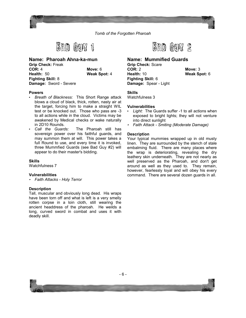



**Name: Pharoah Ahna-ka-mun Grip Check:** Freak **COR:** 4 **Move:** 6 **Health:** 50 **Weak Spot:** 4 **Fighting Skill:** 8 **Damage:** Sword - Severe

#### **Powers**

- *Breath of Blackness:* This Short Range attack blows a cloud of black, thick, rotten, nasty air at the target, forcing him to make a straight WIL test or be knocked out. Those who pass are -3 to all actions while in the cloud. Victims may be awakened by Medical checks or wake naturally in 2D10 Rounds.
- *Call the Guards:* The Pharoah still has sovereign power over his faithful guards, and may summon them at will. This power takes a full Round to use, and every time it is invoked, three Mummfied Guards (see Bad Guy #2) will appear to do their master's bidding.

#### **Skills**

Watchfulness 7

#### **Vulnerabilities**

• *Faith Attacks - Holy Terror*

#### **Description**

Tall, muscular and obviously long dead. His wraps have been torn off and what is left is a very smelly rotten corpse in a loin cloth, still wearing the ancient headdress of the pharoah. He weilds a long, curved sword in combat and uses it with deadly skill.



#### **Name: Mummified Guards**

**Grip Check:** Scare **COR:** 2 **Move:** 3 **Health:** 10 **Weak Spot:** 6 **Fighting Skill:** 6 **Damage:** Spear - Light

#### **Skills**

Watchfulness 3

#### **Vulnerabilities**

- *Light:* The Guards suffer -1 to all actions when exposed to bright lights; they will not venture into direct sunlight
- *Faith Attack Smiting (Moderate Damage)*

#### **Description**

Your typical mummies wrapped up in old musty linen. They are surrounded by the stench of stale embalming fluid. There are many places where the wrap is deteriorating, revealing the dry leathery skin underneath. They are not nearly as well preserved as the Pharoah, and don't get around as well as they used to. They remain, however, fearlessly loyal and will obey his every command. There are several dozen guards in all.

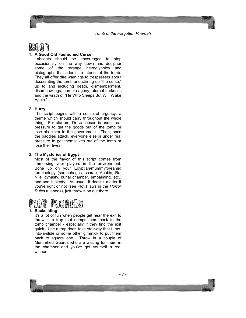

#### 1. **A Good Old Fashioned Curse**

Labcoats should be encouraged to stop occasionally on the way down and decipher some of the strange heiroglyphics and pictographs that adorn the interior of the tomb. They all offer dire warnings to trespassers about desecrating the tomb and stirring up "the curse," up to and including death, dismemberment, disembowlings, horrible agony, eternal darkness and the wrath of "He Who Sleeps But Will Wake Again."

#### 2. **Hurry!**

The script begins with a sense of urgency, a theme which should carry throughout the whole thing. For starters, Dr. Jacobson is under real pressure to get the goods out of the tomb or lose his claim to the government. Then, once the baddies attack, everyone else is under real pressure to get themselves out of the tomb or lose their lives.

#### 3. **The Mysteries of Egypt**

Most of the flavor of this script comes from immersing your players in the environment. Bone up on your Egyptian/mummy/pyramid terminology (sarcophagus, scarab, Anubis, Ra, Nile, dynasty, burial chamber, embalming, etc.) and use it plenty. As usual, it doesn't matter if you're right or not (see Plot Flaws in the *Horror Rules* rulebook), just throw it on out there.



#### **1. Backsliding**

It's a lot of fun when people get near the exit to throw in a trap that dumps them back to the tomb chamber - especially if they find the exit quick. Use a trap door, fake-stairway-that-turnsinto-a-slide or some other gimmick to put them back to square one. Throw in a couple of Mummfied Guards who are waiting for them in the chamber and you've got yourself a real winner!

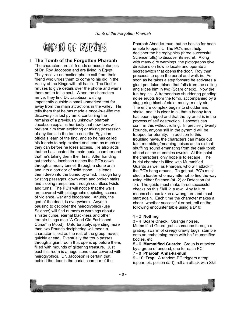

1. **The Tomb of the Forgotten Pharoah** The characters are all friends or acquaintances of Dr. Roy Jacobson and are living in Egypt. They receive an excited phone call from their friend who urges them to come to his dig in the Valley of the Kings with all haste. The Doctor refuses to give details over the phone and warns them not to tell a soul. When the characters arrive, they find Dr. Jacobson waiting impatiently outside a small unmarked tent far away from the main attractions in the valley. He tells them that he has made a once-in-a-lifetime discovery - a lost pyramid containing the remains of a previously unknown pharoah. Jacobson explains hurriedly that new laws will prevent him from exploring or taking possession of any items in the tomb once the Egyptian officials learn of the find, and so he has called his friends to help explore and learn as much as they can before he loses access. He also adds that he has located the main burial chamber and that he's taking them their first. After handing out torches, Jacobson rushes the PC's down through a musty tunnel, through a stone arch and into a corridor of solid stone. He leads them deep into the buried pyramid, through long twisting passages, down worn and broken stairs and sloping ramps and through countless twists and turns. The PC's will notice that the walls are covered with pictographs depicting scenes of violence, war and bloodshed. Anubis, the god of the dead, is everywhere. Anyone pausing to decipher the heiroglyphics (use Science) will find numerous warnings about a sinister curse, eternal blackness and other terrible things (see "A Good Old Fashioned Curse" in Mood). Unfortunately, spending more than two Rounds deciphering will mean a character is lost as the rest of the group moves quickly ahead. Eventually the troup passes through a giant room that opens up before them, filled with mounds of glittering treasure. Just past this room is a huge stone door covered with heiroglyphics. Dr. Jacobson is certain that behind the door is the burial chamber of the

Pharoah Ahna-ka-mun, but he has so far been unable to open it. The PC's must help decipher the heiroglyphics (three successful Science rolls) to discover its secret. Along with many dire warnings, the pictographs give directions on how to locate and operate a secret switch that opens the door. Roy then proceeds to open the portal and walk in. As soon as he takes a step forward he activates a giant pendulum blade that falls from the ceiling and slices him in two (Scare check). Now the fun begins. A tremendous shuddering grinding noise erupts from the tomb, accompanied by a staggering blast of stale, musty, moldy air. The entire complex begins to shudder and shake, and it is clear to all that a booby trap has been tripped and that the pyramid is in the process of self destruction. Labcoats can confirm this without rolling. In precisely twenty Rounds, anyone still in the pyramid will be trapped for eternity. In addition to this troubling news, the characters can make out faint mumbling/moaning noises and a distant shuffling sound emanating from the dark tomb ahead as the mummies awake. At this point the characters' only hope is to escape. The burial chamber is filled with Mummified Guards as well as Pharoah, who will attack if the PC's hang around. To get out, PC's must elect a leader who may attempt to find the way using either Science (at -2) or Detection (at -3). The guide must make three successful checks on this Skill *in a row.* Any failure means she has taken a wrong turn and must start again. Each time the character makes a check, whether successful or not, roll on the following encounter table using a D10:

#### 1 - 2 **Nothing**

3 - 4 **Scare Check:** Strange noises, Mummified Guard grabs someone through a grating, swarm of creepy crawly bugs, stumble onto an embalming room with half-mummified bodies, etc.

5 - 6 **Mummified Guards:** Group is attacked by a group of undead, one for each PC

7 - 8 **Pharoah Ahna-ka-mun**

9 - 10 **Trap:** A random PC triggers a trap (spear, pit, poison dart); roll an attack with Skill